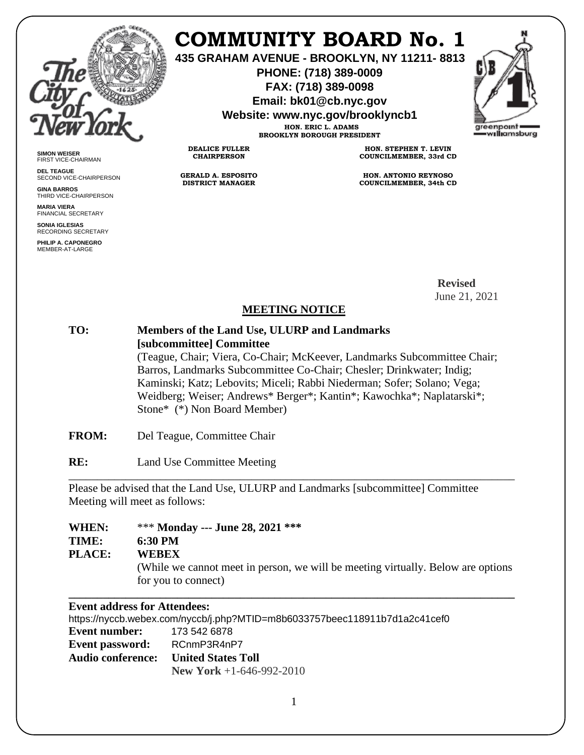

# **COMMUNITY BOARD No. 1**

**435 GRAHAM AVENUE - BROOKLYN, NY 11211- 8813**

**PHONE: (718) 389-0009 FAX: (718) 389-0098**

**Email: bk01@cb.nyc.gov**

**Website: www.nyc.gov/brooklyncb1 HON. ERIC L. ADAMS**

**BROOKLYN BOROUGH PRESIDENT**

**DEALICE FULLER CHAIRPERSON**

**GERALD A. ESPOSITO DISTRICT MANAGER**



**SIMON WEISER** FIRST VICE-CHAIRMAN

**DEL TEAGUE** SECOND VICE-CHAIRPERSON

**GINA BARROS** THIRD VICE-CHAIRPERSON

**MARIA VIERA** FINANCIAL SECRETARY

**SONIA IGLESIAS** RECORDING SECRETARY

**PHILIP A. CAPONEGRO** MEMBER-AT-LARGE

**HON. STEPHEN T. LEVIN COUNCILMEMBER, 33rd CD**

**HON. ANTONIO REYNOSO COUNCILMEMBER, 34th CD**

 **Revised** June 21, 2021

### **MEETING NOTICE**

## **TO: Members of the Land Use, ULURP and Landmarks [subcommittee] Committee** (Teague, Chair; Viera, Co-Chair; McKeever, Landmarks Subcommittee Chair; Barros, Landmarks Subcommittee Co-Chair; Chesler; Drinkwater; Indig; Kaminski; Katz; Lebovits; Miceli; Rabbi Niederman; Sofer; Solano; Vega; Weidberg; Weiser; Andrews\* Berger\*; Kantin\*; Kawochka\*; Naplatarski\*; Stone\* (\*) Non Board Member)

- **FROM:** Del Teague, Committee Chair
- **RE:** Land Use Committee Meeting

Please be advised that the Land Use, ULURP and Landmarks [subcommittee] Committee Meeting will meet as follows:

| WHEN:         | *** Monday --- June 28, 2021 ***                                                                                        |
|---------------|-------------------------------------------------------------------------------------------------------------------------|
| TIME:         | 6:30 PM                                                                                                                 |
| <b>PLACE:</b> | <b>WEBEX</b><br>(While we cannot meet in person, we will be meeting virtually. Below are options<br>for you to connect) |

\_\_\_\_\_\_\_\_\_\_\_\_\_\_\_\_\_\_\_\_\_\_\_\_\_\_\_\_\_\_\_\_\_\_\_\_\_\_\_\_\_\_\_\_\_\_\_\_\_\_\_\_\_\_\_\_\_\_\_\_\_\_\_\_\_\_\_\_\_\_\_\_\_\_\_\_\_\_

### **Event address for Attendees:**

https://nyccb.webex.com/nyccb/j.php?MTID=m8b6033757beec118911b7d1a2c41cef0 **Event number:** 173 542 6878 **Event password:** RCnmP3R4nP7 **Audio conference: United States Toll New York** +1-646-992-2010